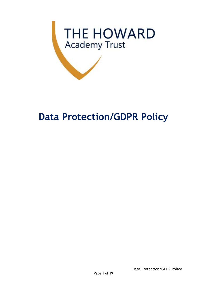

# **Data Protection/GDPR Policy**

Data Protection/GDPR Policy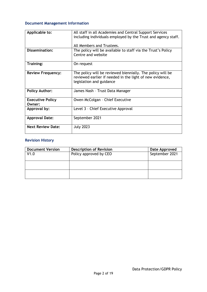### **Document Management Information**

| Applicable to:                    | All staff in all Academies and Central Support Services<br>including individuals employed by the Trust and agency staff.<br>All Members and Trustees. |  |
|-----------------------------------|-------------------------------------------------------------------------------------------------------------------------------------------------------|--|
| <b>Dissemination:</b>             | The policy will be available to staff via the Trust's Policy<br>Centre and website                                                                    |  |
| Training:                         | On request                                                                                                                                            |  |
| <b>Review Frequency:</b>          | The policy will be reviewed biennially. The policy will be<br>reviewed earlier if needed in the light of new evidence,<br>legislation and guidance    |  |
| <b>Policy Author:</b>             | James Nash - Trust Data Manager                                                                                                                       |  |
| <b>Executive Policy</b><br>Owner: | Owen McColgan - Chief Executive                                                                                                                       |  |
| Approval by:                      | Level 3 - Chief Executive Approval                                                                                                                    |  |
| <b>Approval Date:</b>             | September 2021                                                                                                                                        |  |
| <b>Next Review Date:</b>          | <b>July 2023</b>                                                                                                                                      |  |

## **Revision History**

| <b>Document Version</b> | <b>Description of Revision</b> | Date Approved  |
|-------------------------|--------------------------------|----------------|
| V1.0                    | Policy approved by CEO         | September 2021 |
|                         |                                |                |
|                         |                                |                |
|                         |                                |                |
|                         |                                |                |
|                         |                                |                |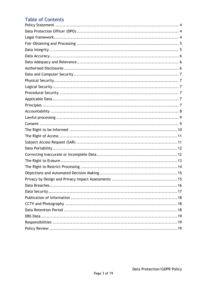# **Table of Contents**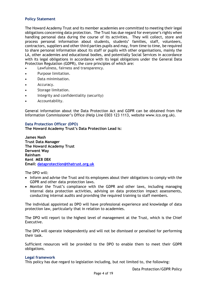#### <span id="page-3-0"></span>**Policy Statement**

The Howard Academy Trust and its member academies are committed to meeting their legal obligations concerning data protection. The Trust has due regard for everyone's rights when handling personal data during the course of its activities. They will collect, store and process personal information about students, students' families, staff, volunteers, contractors, suppliers and other third parties pupils and may, from time to time, be required to share personal information about its staff or pupils with other organisations, mainly the LA, other academies and educational bodies, and potentially Social Services in accordance with its legal obligations in accordance with its legal obligations under the General Data Protection Regulation (GDPR), the core principles of which are:

- Lawfulness, fairness and transparency.
- Purpose limitation.
- Data minimisation.
- Accuracy.
- Storage limitation.
- Integrity and confidentiality (security)
- Accountability.

General information about the Data Protection Act and GDPR can be obtained from the Information Commissioner's Office (Help Line 0303 123 1113, website www.ico.org.uk).

#### <span id="page-3-1"></span>**Data Protection Officer (DPO)**

#### **The Howard Academy Trust's Data Protection Lead is:**

**James Nash Trust Data Manager The Howard Academy Trust Derwent Way Rainham Kent ME8 0BX Email: [dataprotection@thatrust.org.uk](mailto:dataprotection@thatrust.org.uk)**

The DPO will:

- Inform and advise the Trust and its employees about their obligations to comply with the GDPR and other data protection laws.
- Monitor the Trust's compliance with the GDPR and other laws, including managing internal data protection activities, advising on data protection impact assessments, conducting internal audits and providing the required training to staff members.

The individual appointed as DPO will have professional experience and knowledge of data protection law, particularly that in relation to academies.

The DPO will report to the highest level of management at the Trust, which is the Chief Executive.

The DPO will operate independently and will not be dismissed or penalised for performing their task.

Sufficient resources will be provided to the DPO to enable them to meet their GDPR obligations.

#### <span id="page-3-2"></span>**Legal framework**

This policy has due regard to legislation including, but not limited to, the following: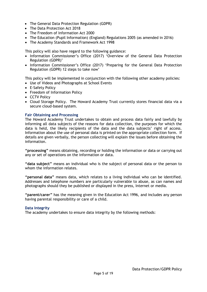- The General Data Protection Regulation (GDPR)
- The Data Protection Act 2018
- The Freedom of Information Act 2000
- The Education (Pupil Information) (England) Regulations 2005 (as amended in 2016)
- The Academy Standards and Framework Act 1998

This policy will also have regard to the following guidance:

- Information Commissioner's Office (2017) 'Overview of the General Data Protection Regulation (GDPR)'
- Information Commissioner's Office (2017) 'Preparing for the General Data Protection Regulation (GDPR) 12 steps to take now'

This policy will be implemented in conjunction with the following other academy policies:

- Use of Videos and Photographs at School Events
- E-Safety Policy
- Freedom of Information Policy
- CCTV Policy
- Cloud Storage Policy. The Howard Academy Trust currently stores financial data via a secure cloud-based system.

#### <span id="page-4-0"></span>**Fair Obtaining and Processing**

The Howard Academy Trust undertakes to obtain and process data fairly and lawfully by informing all data subjects of the reasons for data collection, the purposes for which the data is held, the likely recipients of the data and the data subjects' right of access. Information about the use of personal data is printed on the appropriate collection form. If details are given verbally, the person collecting will explain the issues before obtaining the information.

**"processing"** means obtaining, recording or holding the information or data or carrying out any or set of operations on the information or data.

**"data subject"** means an individual who is the subject of personal data or the person to whom the information relates.

**"personal data"** means data, which relates to a living individual who can be identified. Addresses and telephone numbers are particularly vulnerable to abuse, as can names and photographs should they be published or displayed in the press, Internet or media.

**"parent/carer"** has the meaning given in the Education Act 1996, and includes any person having parental responsibility or care of a child.

#### <span id="page-4-1"></span>**Data Integrity**

The academy undertakes to ensure data integrity by the following methods: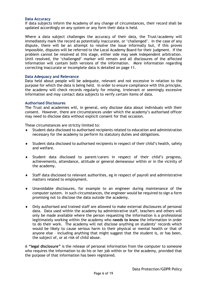#### <span id="page-5-0"></span>**Data Accuracy**

If data subjects inform the Academy of any change of circumstances, their record shall be updated accordingly on any system or any form their data is held.

Where a data subject challenges the accuracy of their data, the Trust/academy will immediately mark the record as potentially inaccurate, or 'challenged'. In the case of any dispute, there will be an attempt to resolve the issue informally but, if this proves impossible, disputes will be referred to the Local Academy Board for their judgment. If the problem cannot be resolved at this stage, either side may seek independent arbitration. Until resolved, the 'challenged' marker will remain and all disclosures of the affected information will contain both versions of the information. More information regarding correcting inaccurate or incomplete data is detailed on page 11.

#### <span id="page-5-1"></span>**Data Adequacy and Relevance**

Data held about people will be adequate, relevant and not excessive in relation to the purpose for which the data is being held. In order to ensure compliance with this principle, the academy will check records regularly for missing, irrelevant or seemingly excessive information and may contact data subjects to verify certain items of data.

#### <span id="page-5-2"></span>**Authorised Disclosures**

The Trust and academies will, in general, only disclose data about individuals with their consent. However, there are circumstances under which the academy's authorised officer may need to disclose data without explicit consent for that occasion.

These circumstances are strictly limited to:

- Student data disclosed to authorised recipients related to education and administration necessary for the academy to perform its statutory duties and obligations.
- Student data disclosed to authorised recipients in respect of their child's health, safety and welfare.
- Student data disclosed to parent/carers in respect of their child's progress, achievements, attendance, attitude or general demeanour within or in the vicinity of the academy.
- Staff data disclosed to relevant authorities, eg in respect of payroll and administrative matters related to employment.
- Unavoidable disclosures, for example to an engineer during maintenance of the computer system. In such circumstances, the engineer would be required to sign a form promising not to disclose the data outside the academy.
- Only authorised and trained staff are allowed to make external disclosures of personal data. Data used within the academy by administrative staff, teachers and others will only be made available where the person requesting the information is a professional legitimately working within the academy who **needs to know** the information in order to do their work. The academy will not disclose anything on students' records which would be likely to cause serious harm to their physical or mental health or that of anyone else – including anything that might suggest that the student is, or has been, the subject of, or at risk of child abuse.

A **"legal disclosure"** is the release of personal information from the computer to someone who requires the information to do his or her job within or for the academy, provided that the purpose of that information has been registered.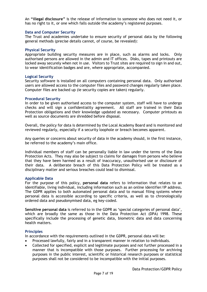An **"illegal disclosure"** is the release of information to someone who does not need it, or has no right to it, or one which falls outside the academy's registered purposes.

#### <span id="page-6-0"></span>**Data and Computer Security**

The Trust and academies undertake to ensure security of personal data by the following general methods (precise details cannot, of course, be revealed):

#### <span id="page-6-1"></span>**Physical Security**

Appropriate building security measures are in place, such as alarms and locks. Only authorised persons are allowed in the admin and IT offices. Disks, tapes and printouts are locked away securely when not in use. Visitors to Trust sites are required to sign in and out, to wear identification badges and are, where appropriate, accompanied.

#### <span id="page-6-2"></span>**Logical Security**

Security software is installed on all computers containing personal data. Only authorised users are allowed access to the computer files and password changes regularly taken place. Computer files are backed up (ie security copies are taken) regularly.

#### <span id="page-6-3"></span>**Procedural Security**

In order to be given authorised access to the computer system, staff will have to undergo checks and will sign a confidentiality agreement. All staff are trained in their Data Protection obligations and their knowledge updated as necessary. Computer printouts as well as source documents are shredded before disposal.

Overall, the policy for data is determined by the Local Academy Board and is monitored and reviewed regularly, especially if a security loophole or breach becomes apparent.

Any queries or concerns about security of data in the academy should, in the first instance, be referred to the academy's main office.

Individual members of staff can be personally liable in law under the terms of the Data Protection Acts. They may also be subject to claims for damages from persons who believe that they have been harmed as a result of inaccuracy, unauthorised use or disclosure of their data. A deliberate breach of this Data Protection Policy will be treated as a disciplinary matter and serious breaches could lead to dismissal.

#### <span id="page-6-4"></span>**Applicable Data**

For the purpose of this policy, **personal data** refers to information that relates to an identifiable, living individual, including information such as an online identifier/IP address. The GDPR applies to both automated personal data and to manual filing systems where personal data is accessible according to specific criteria, as well as to chronologically ordered data and pseudonymised data, eg key-coded.

**Sensitive personal data** is referred to in the GDPR as 'special categories of personal data', which are broadly the same as those in the Data Protection Act (DPA) 1998. These specifically include the processing of genetic data, biometric data and data concerning health matters.

#### <span id="page-6-5"></span>**Principles**

In accordance with the requirements outlined in the GDPR, personal data will be:

- Processed lawfully, fairly and in a transparent manner in relation to individuals.
- Collected for specified, explicit and legitimate purposes and not further processed in a manner that is incompatible with those purposes. Further processing for archiving purposes in the public interest, scientific or historical research purposes or statistical purposes shall not be considered to be incompatible with the initial purposes.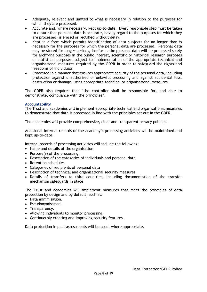- Adequate, relevant and limited to what is necessary in relation to the purposes for which they are processed.
- Accurate and, where necessary, kept up-to-date. Every reasonable step must be taken to ensure that personal data is accurate, having regard to the purposes for which they are processed, is erased or rectified without delay.
- Kept in a form which permits identification of data subjects for no longer than is necessary for the purposes for which the personal data are processed. Personal data may be stored for longer periods, insofar as the personal data will be processed solely for archiving purposes in the public interest, scientific or historical research purposes or statistical purposes, subject to implementation of the appropriate technical and organisational measures required by the GDPR in order to safeguard the rights and freedoms of individuals.
- Processed in a manner that ensures appropriate security of the personal data, including protection against unauthorised or unlawful processing and against accidental loss, destruction or damage, using appropriate technical or organisational measures.

The GDPR also requires that "the controller shall be responsible for, and able to demonstrate, compliance with the principles".

#### <span id="page-7-0"></span>**Accountability**

The Trust and academies will implement appropriate technical and organisational measures to demonstrate that data is processed in line with the principles set out in the GDPR.

The academies will provide comprehensive, clear and transparent privacy policies.

Additional internal records of the academy's processing activities will be maintained and kept up-to-date.

Internal records of processing activities will include the following:

- Name and details of the organisation
- Purpose(s) of the processing
- Description of the categories of individuals and personal data
- Retention schedules
- Categories of recipients of personal data
- Description of technical and organisational security measures
- Details of transfers to third countries, including documentation of the transfer mechanism safeguards in place

The Trust and academies will implement measures that meet the principles of data protection by design and by default, such as:

- Data minimisation.
- Pseudonymisation.
- Transparency.
- Allowing individuals to monitor processing.
- Continuously creating and improving security features.

Data protection impact assessments will be used, where appropriate.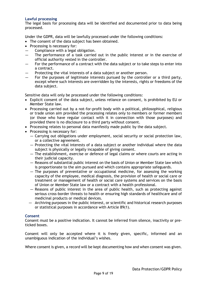#### <span id="page-8-0"></span>**Lawful processing**

The legal basis for processing data will be identified and documented prior to data being processed.

Under the GDPR, data will be lawfully processed under the following conditions:

- The consent of the data subject has been obtained.
- Processing is necessary for:
- Compliance with a legal obligation.
- The performance of a task carried out in the public interest or in the exercise of official authority vested in the controller.
- For the performance of a contract with the data subject or to take steps to enter into a contract.
- Protecting the vital interests of a data subject or another person.
- For the purposes of legitimate interests pursued by the controller or a third party, except where such interests are overridden by the interests, rights or freedoms of the data subject.

Sensitive data will only be processed under the following conditions:

- Explicit consent of the data subject, unless reliance on consent, is prohibited by EU or Member State law.
- Processing carried out by a not-for-profit body with a political, philosophical, religious or trade union aim provided the processing relates only to members or former members (or those who have regular contact with it in connection with those purposes) and provided there is no disclosure to a third party without consent.
- Processing relates to personal data manifestly made public by the data subject.
- Processing is necessary for:
	- Carrying out obligations under employment, social security or social protection law, or a collective agreement.
	- Protecting the vital interests of a data subject or another individual where the data subject is physically or legally incapable of giving consent.
	- The establishment, exercise or defence of legal claims or where courts are acting in their judicial capacity.
	- Reasons of substantial public interest on the basis of Union or Member State law which is proportionate to the aim pursued and which contains appropriate safeguards.
	- The purposes of preventative or occupational medicine, for assessing the working capacity of the employee, medical diagnosis, the provision of health or social care or treatment or management of health or social care systems and services on the basis of Union or Member State law or a contract with a health professional.
	- Reasons of public interest in the area of public health, such as protecting against serious cross-border threats to health or ensuring high standards of healthcare and of medicinal products or medical devices.
	- Archiving purposes in the public interest, or scientific and historical research purposes or statistical purposes in accordance with Article 89(1).

#### <span id="page-8-1"></span>**Consent**

Consent must be a positive indication. It cannot be inferred from silence, inactivity or preticked boxes.

Consent will only be accepted where it is freely given, specific, informed and an unambiguous indication of the individual's wishes.

Where consent is given, a record will be kept documenting how and when consent was given.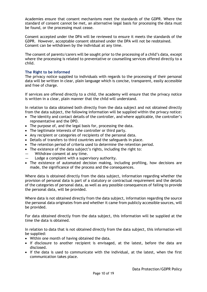Academies ensure that consent mechanisms meet the standards of the GDPR. Where the standard of consent cannot be met, an alternative legal basis for processing the data must be found, or the processing must cease.

Consent accepted under the DPA will be reviewed to ensure it meets the standards of the GDPR. However, acceptable consent obtained under the DPA will not be reobtained. Consent can be withdrawn by the individual at any time.

The consent of parents/carers will be sought prior to the processing of a child's data, except where the processing is related to preventative or counselling services offered directly to a child.

#### <span id="page-9-0"></span>**The Right to be Informed**

The privacy notice supplied to individuals with regards to the processing of their personal data will be written in clear, plain language which is concise, transparent, easily accessible and free of charge.

If services are offered directly to a child, the academy will ensure that the privacy notice is written in a clear, plain manner that the child will understand.

In relation to data obtained both directly from the data subject and not obtained directly from the data subject, the following information will be supplied within the privacy notice:

- The identity and contact details of the controller, and where applicable, the controller's representative and the DPO.
- The purpose of, and the legal basis for, processing the data.
- The legitimate interests of the controller or third party.
- Any recipient or categories of recipients of the personal data.
- Details of transfers to third countries and the safeguards in place.
- The retention period of criteria used to determine the retention period.
- The existence of the data subject's rights, including the right to:
- Withdraw consent at any time.
- $\blacksquare$  Lodge a complaint with a supervisory authority.
- The existence of automated decision making, including profiling, how decisions are made, the significance of the process and the consequences.

Where data is obtained directly from the data subject, information regarding whether the provision of personal data is part of a statutory or contractual requirement and the details of the categories of personal data, as well as any possible consequences of failing to provide the personal data, will be provided.

Where data is not obtained directly from the data subject, information regarding the source the personal data originates from and whether it came from publicly accessible sources, will be provided.

For data obtained directly from the data subject, this information will be supplied at the time the data is obtained.

In relation to data that is not obtained directly from the data subject, this information will be supplied:

- Within one month of having obtained the data.
- If disclosure to another recipient is envisaged, at the latest, before the data are disclosed.
- If the data is used to communicate with the individual, at the latest, when the first communication takes place.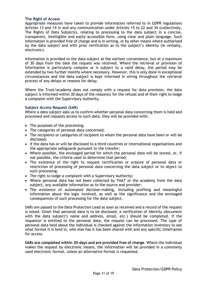#### <span id="page-10-0"></span>**The Right of Access**

Appropriate measures have taken to provide information referred to in GDPR regulations Articles 13 and 14 in and any communication under Articles 15 to 22 and 34 (collectively, The Rights of Data Subjects), relating to processing to the data subject in a concise, transparent, intelligible and easily accessible form, using clear and plain language. Such information is provided free of charge and is in writing, or by other means where authorised by the data subject and with prior verification as to the subject's identity (ie verbally, electronic).

Information is provided to the data subject at the earliest convenience, but at a maximum of 30 days from the date the request was received. Where the retrieval or provision of information is particularly complex or is subject to a valid delay, the period may be extended by two further months where necessary. However, this is only done in exceptional circumstances and the data subject is kept informed in wiring throughout the retrieval process of any delays or reasons for delay.

Where the Trust/academy does not comply with a request for data provision, the data subject is informed within 30 days of the reason(s) for the refusal and of their right to lodge a complaint with the Supervisory Authority.

#### <span id="page-10-1"></span>**Subject Access Request (SAR)**

Where a data subject asks us to confirm whether personal data concerning them is held and processed and requests access to such data; they will be provided with:

- The purposes of the processing;
- The categories of personal data concerned;
- The recipients or categories of recipient to whom the personal data have been or will be disclosed;
- If the data has or will be disclosed to a third countries or international organisations and the appropriate safeguards pursuant to the transfer;
- Where possible, the envisaged period for which the personal data will be stored, or, if not possible, the criteria used to determine that period;
- The existence of the right to request rectification or erasure of personal data or restriction of processing of personal data concerning the data subject or to object to such processing;
- The right to lodge a complaint with a Supervisory Authority;
- Where personal data has not been collected by THAT or the academy from the data subject, any available information as to the source and provider;
- The existence of automated decision-making, including profiling and meaningful information about the logic involved, as well as the significance and the envisaged consequences of such processing for the data subject.

SARs are passed to the Data Protection Lead as soon as received and a record of the request is noted. Given that personal data is to be disclosed, a verification of identity (document with the data subject's name and address, email, etc.) should be completed. If the requestor is entitled to the personal data, the request can be processed. The type of personal data held about the individual is checked against the Information Inventory to see what format it is held in, who else has it has been shared with and any specific timeframes for access.

**SARs are completed within 30-days and are provided free of charge**. Where the individual makes the request by electronic means, the information will be provided in a commonly used electronic format, unless an alternative format is requested.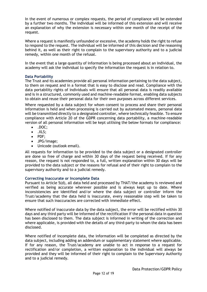In the event of numerous or complex requests, the period of compliance will be extended by a further two months. The individual will be informed of this extension and will receive an explanation of why the extension is necessary within one month of the receipt of the request.

Where a request is manifestly unfounded or excessive, the academy holds the right to refuse to respond to the request. The individual will be informed of this decision and the reasoning behind it, as well as their right to complain to the supervisory authority and to a judicial remedy, within one month of the refusal.

In the event that a large quantity of information is being processed about an individual, the academy will ask the individual to specify the information the request is in relation to.

#### <span id="page-11-0"></span>**Data Portability**

The Trust and its academies provide all personal information pertaining to the data subject, to them on request and in a format that is easy to disclose and read. Compliance with the data portability rights of individuals will ensure that all personal data is readily available and is in a structured, commonly used and machine-readable format, enabling data subjects to obtain and reuse their personal data for their own purposes across different services.

Where requested by a data subject for whom consent to process and share their personal information is held and when processing is carried out by automated means, personal data will be transmitted directly to a designated controller, where technically feasible. To ensure compliance with Article 20 of the GDPR concerning data portability, a machine-readable version of all personal information will be kept utilising the below formats for compliance:

- .DOC;
- .XLS;
- PDF;
- JPG/image;
- Unicode (outlook email).

All requests for information to be provided to the data subject or a designated controller are done so free of charge and within 30 days of the request being received. If for any reason, the request is not responded to, a full, written explanation within 30 days will be provided to the data subject or the reasons for refusal and of their right to complain to the supervisory authority and to a judicial remedy.

#### <span id="page-11-1"></span>**Correcting Inaccurate or Incomplete Data**

Pursuant to Article 5(d), all data held and processed by THAT/the academy is reviewed and verified as being accurate wherever possible and is always kept up to date. Where inconsistencies are identified and/or where the data subject or controller inform the Trust/academy that the data held is inaccurate, every reasonable step will be taken to ensure that such inaccuracies are corrected with immediate effect.

Where notified of inaccurate data by the data subject, the error will be rectified within 30 days and any third party will be informed of the rectification if the personal data in question has been disclosed to them. The data subject is informed in writing of the correction and where applicable, is provided with the details of any third-party to whom the data has been disclosed.

Where notified of incomplete data, the information will be completed as directed by the data subject, including adding an addendum or supplementary statement where applicable. If for any reason, the Trust/academy are unable to act in response to a request for rectification and/or completion, a written explanation to the individual will always be provided and they will be informed of their right to complain to the Supervisory Authority and to a judicial remedy.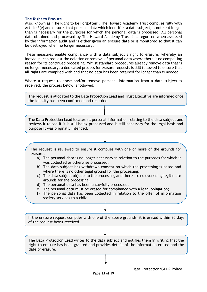#### <span id="page-12-0"></span>**The Right to Erasure**

Also, known as 'The Right to be Forgotten', The Howard Academy Trust complies fully with Article 5(e) and ensures that personal data which identifies a data subject, is not kept longer than is necessary for the purposes for which the personal data is processed. All personal data obtained and processed by The Howard Academy Trust is categorised when assessed by the information audit and is either given an erasure date or is monitored so that it can be destroyed when no longer necessary.

These measures enable compliance with a data subject's right to erasure, whereby an individual can request the deletion or removal of personal data where there is no compelling reason for its continued processing. Whilst standard procedures already remove data that is no longer necessary, a dedicated process for erasure requests is still followed to ensure that all rights are complied with and that no data has been retained for longer than is needed.

Where a request to erase and/or remove personal information from a data subject is received, the process below is followed:

The request is allocated to the Data Protection Lead and Trust Executive are informed once the identity has been confirmed and recorded.

The Data Protection Lead locates all personal information relating to the data subject and reviews it to see if it is still being processed and is still necessary for the legal basis and purpose it was originally intended.

The request is reviewed to ensure it complies with one or more of the grounds for erasure:

- a) The personal data is no longer necessary in relation to the purposes for which it was collected or otherwise processed;
- b) The data subject has withdrawn consent on which the processing is based and where there is no other legal ground for the processing;
- c) The data subject objects to the processing and there are no overriding legitimate grounds for the processing;
- d) The personal data has been unlawfully processed;
- e) The personal data must be erased for compliance with a legal obligation;
- f) The personal data has been collected in relation to the offer of information society services to a child.

If the erasure request complies with one of the above grounds, it is erased within 30 days of the request being received.

The Data Protection Lead writes to the data subject and notifies them in writing that the right to erasure has been granted and provides details of the information erased and the date of erasure.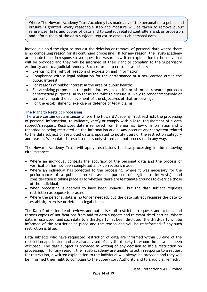Where The Howard Academy Trust/academy has made any of the personal data public and erasure is granted, every reasonable step and measure will be taken to remove public references, links and copies of data and to contact related controllers and/or processors and inform them of the data subjects request to erase such personal data.

Individuals hold the right to request the deletion or removal of personal data where there is no compelling reason for its continued processing. If for any reason, the Trust/academy are unable to act in response to a request for erasure, a written explanation to the individual will be provided and they will be informed of their right to complain to the Supervisory Authority and to a judicial remedy. Such refusals to erase data include:

- Exercising the right of freedom of expression and information;
- Compliance with a legal obligation for the performance of a task carried out in the public interest
- For reasons of public interest in the area of public health;
- For archiving purposes in the public interest, scientific or historical research purposes or statistical purposes, in so far as the right to erasure is likely to render impossible or seriously impair the achievement of the objectives of that processing;
- For the establishment, exercise or defence of legal claims.

#### <span id="page-13-0"></span>**The Right to Restrict Processing**

There are certain circumstances where The Howard Academy Trust restricts the processing of personal information, to validate, verify or comply with a legal requirement of a data subject's request. Restricted data is removed from the normal flow of information and is recorded as being restricted on the information audit. Any account and/or system related to the data subject of restricted data is updated to notify users of the restriction category and reason. When data is restricted it is only stored and not processed in any way.

The Howard Academy Trust will apply restrictions to data processing in the following circumstances:

- Where an individual contests the accuracy of the personal data and the process of verification has not been completed and/ corrections made;
- Where an individual has objected to the processing (where it was necessary for the performance of a public interest task or purpose of legitimate interests), and consideration is taking place as to whether there are legitimate grounds to override those of the individual;
- When processing is deemed to have been unlawful, but the data subject requests restriction as oppose to erasure;
- Where the personal data is no longer needed, but the data subject requires the data to establish, exercise or defend a legal claim.

The Data Protection Lead reviews and authorises all restriction requests and actions and retains copies of notifications from and to data subjects and relevant third-parties. Where data is restricted, and such data to a third-party has been disclosed, the third-party will be informed of the restriction in place and the reason and will be re-informed if any such restriction is lifted.

Data subjects who have requested restriction of data are informed within 30 days of the restriction application and are also advised of any third-party to whom the data has been disclosed. The data subject is provided in writing of any decision to lift a restriction on processing. If for any reason, the Trust/academy are unable to act in response to a request for restriction, a written explanation to the individual will always be provided and they will be informed their right to complain to the Supervisory Authority and to a judicial remedy.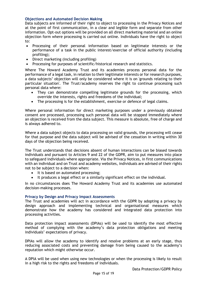#### <span id="page-14-0"></span>**Objections and Automated Decision Making**

Data subjects are informed of their right to object to processing in the Privacy Notices and at the point of first communication, in a clear and legible form and separate from other information. Opt-out options will be provided on all direct marketing material and an online objection form where processing is carried out online. Individuals have the right to object to:

- Processing of their personal information based on legitimate interests or the performance of a task in the public interest/exercise of official authority (including profiling);
- Direct marketing (including profiling)
- Processing for purposes of scientific/historical research and statistics.

Where The Howard Academy Trust and its academies process personal data for the performance of a legal task, in relation to their legitimate interests or for research purposes, a data subjects' objection will only be considered where it is on 'grounds relating to their particular situation'. The Trust/academy reserves the right to continue processing such personal data where:

- They can demonstrate compelling legitimate grounds for the processing, which override the interests, rights and freedoms of the individual;
- The processing is for the establishment, exercise or defence of legal claims.

Where personal information for direct marketing purposes under a previously obtained consent are processed, processing such personal data will be stopped immediately where an objection is received from the data subject. This measure is absolute, free of charge and is always adhered to.

Where a data subject objects to data processing on valid grounds, the processing will cease for that purpose and the data subject will be advised of the cessation in writing within 30 days of the objection being received.

The Trust understands that decisions absent of human interactions can be biased towards individuals and pursuant to Articles 9 and 22 of the GDPR, aim to put measures into place to safeguard individuals where appropriate. Via the Privacy Notices, in first communications with an individual and on Trust and academy websites, individuals are advised of their rights not to be subject to a decision when:

- It is based on automated processing;
- It produces a legal effect or a similarly significant effect on the individual.

In no circumstances does The Howard Academy Trust and its academies use automated decision-making processes.

#### <span id="page-14-1"></span>**Privacy by Design and Privacy Impact Assessments**

The Trust and academies will act in accordance with the GDPR by adopting a privacy by design approach and implementing technical and organisational measures which demonstrate how the academy has considered and integrated data protection into processing activities.

Data protection impact assessments (DPIAs) will be used to identify the most effective method of complying with the academy's data protection obligations and meeting individuals' expectations of privacy.

DPIAs will allow the academy to identify and resolve problems at an early stage, thus reducing associated costs and preventing damage from being caused to the academy's reputation which might otherwise occur.

A DPIA will be used when using new technologies or when the processing is likely to result in a high risk to the rights and freedoms of individuals.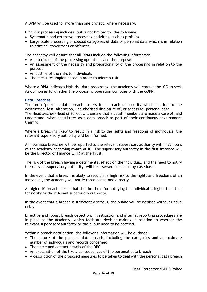A DPIA will be used for more than one project, where necessary.

High risk processing includes, but is not limited to, the following:

- Systematic and extensive processing activities, such as profiling
- Large scale processing of special categories of data or personal data which is in relation to criminal convictions or offences

The academy will ensure that all DPIAs include the following information:

- A description of the processing operations and the purposes
- An assessment of the necessity and proportionality of the processing in relation to the purpose
- An outline of the risks to individuals
- The measures implemented in order to address risk

Where a DPIA indicates high risk data processing, the academy will consult the ICO to seek its opinion as to whether the processing operation complies with the GDPR.

#### <span id="page-15-0"></span>**Data Breaches**

The term 'personal data breach' refers to a breach of security which has led to the destruction, loss, alteration, unauthorised disclosure of, or access to, personal data. The Headteacher/Head of School will ensure that all staff members are made aware of, and

understand, what constitutes as a data breach as part of their continuous development training.

Where a breach is likely to result in a risk to the rights and freedoms of individuals, the relevant supervisory authority will be informed.

All notifiable breaches will be reported to the relevant supervisory authority within 72 hours of the academy becoming aware of it. The supervisory authority in the first instance will be the Director of Finance & HR at the Trust.

The risk of the breach having a detrimental effect on the individual, and the need to notify the relevant supervisory authority, will be assessed on a case-by-case basis.

In the event that a breach is likely to result in a high risk to the rights and freedoms of an individual, the academy will notify those concerned directly.

A 'high risk' breach means that the threshold for notifying the individual is higher than that for notifying the relevant supervisory authority.

In the event that a breach is sufficiently serious, the public will be notified without undue delay.

Effective and robust breach detection, investigation and internal reporting procedures are in place at the academy, which facilitate decision-making in relation to whether the relevant supervisory authority or the public need to be notified.

Within a breach notification, the following information will be outlined:

- The nature of the personal data breach, including the categories and approximate number of individuals and records concerned
- The name and contact details of the DPO
- An explanation of the likely consequences of the personal data breach
- A description of the proposed measures to be taken to deal with the personal data breach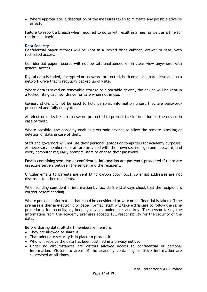• Where appropriate, a description of the measures taken to mitigate any possible adverse effects

Failure to report a breach when required to do so will result in a fine, as well as a fine for the breach itself.

#### <span id="page-16-0"></span>**Data Security**

Confidential paper records will be kept in a locked filing cabinet, drawer or safe, with restricted access.

Confidential paper records will not be left unattended or in clear view anywhere with general access.

Digital data is coded, encrypted or password-protected, both on a local hard drive and on a network drive that is regularly backed up off-site.

Where data is saved on removable storage or a portable device, the device will be kept in a locked filing cabinet, drawer or safe when not in use.

Memory sticks will not be used to hold personal information unless they are passwordprotected and fully encrypted.

All electronic devices are password-protected to protect the information on the device in case of theft.

Where possible, the academy enables electronic devices to allow the remote blocking or deletion of data in case of theft.

Staff and governors will not use their personal laptops or computers for academy purposes. All necessary members of staff are provided with their own secure login and password, and every computer regularly prompts users to change their password.

Emails containing sensitive or confidential information are password-protected if there are unsecure servers between the sender and the recipient.

Circular emails to parents are sent blind carbon copy (bcc), so email addresses are not disclosed to other recipients.

When sending confidential information by fax, staff will always check that the recipient is correct before sending.

Where personal information that could be considered private or confidential is taken off the premises either in electronic or paper format, staff will take extra care to follow the same procedures for security, eg keeping devices under lock and key. The person taking the information from the academy premises accepts full responsibility for the security of the data.

Before sharing data, all staff members will ensure:

- They are allowed to share it.
- That adequate security is in place to protect it.
- Who will receive the data has been outlined in a privacy notice.
- Under no circumstances are visitors allowed access to confidential or personal information. Visitors to areas of the academy containing sensitive information are supervised at all times.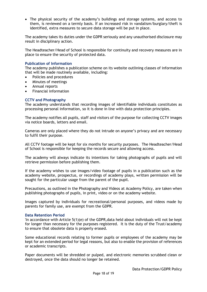• The physical security of the academy's buildings and storage systems, and access to them, is reviewed on a termly basis. If an increased risk in vandalism/burglary/theft is identified, extra measures to secure data storage will be put in place.

The academy takes its duties under the GDPR seriously and any unauthorised disclosure may result in disciplinary action.

The Headteacher/Head of School is responsible for continuity and recovery measures are in place to ensure the security of protected data.

#### <span id="page-17-0"></span>**Publication of Information**

The academy publishes a publication scheme on its website outlining classes of information that will be made routinely available, including:

- Policies and procedures
- Minutes of meetings
- Annual reports
- Financial information

#### <span id="page-17-1"></span>**CCTV and Photography**

The academy understands that recording images of identifiable individuals constitutes as processing personal information, so it is done in line with data protection principles.

The academy notifies all pupils, staff and visitors of the purpose for collecting CCTV images via notice boards, letters and email.

Cameras are only placed where they do not intrude on anyone's privacy and are necessary to fulfil their purpose.

All CCTV footage will be kept for six months for security purposes. The Headteacher/Head of School is responsible for keeping the records secure and allowing access.

The academy will always indicate its intentions for taking photographs of pupils and will retrieve permission before publishing them.

If the academy wishes to use images/video footage of pupils in a publication such as the academy website, prospectus, or recordings of academy plays, written permission will be sought for the particular usage from the parent of the pupil.

Precautions, as outlined in the Photography and Videos at Academy Policy, are taken when publishing photographs of pupils, in print, video or on the academy website.

Images captured by individuals for recreational/personal purposes, and videos made by parents for family use, are exempt from the GDPR.

#### <span id="page-17-2"></span>**Data Retention Period**

'In accordance with Article 5(1)(e) of the GDPR,data held about individuals will not be kept for longer than necessary for the purposes registered. It is the duty of the Trust/academy to ensure that obsolete data is properly erased.

Some educational records relating to former pupils or employees of the academy may be kept for an extended period for legal reasons, but also to enable the provision of references or academic transcripts.

Paper documents will be shredded or pulped, and electronic memories scrubbed clean or destroyed, once the data should no longer be retained.